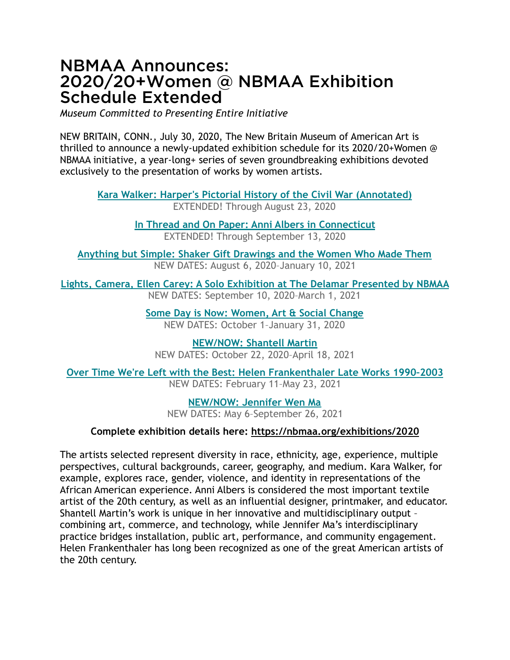## NBMAA Announces: 2020/20+Women @ NBMAA Exhibition Schedule Extended

*Museum Committed to Presenting Entire Initiative*

NEW BRITAIN, CONN., July 30, 2020, The New Britain Museum of American Art is thrilled to announce a newly-updated exhibition schedule for its 2020/20+Women @ NBMAA initiative, a year-long+ series of seven groundbreaking exhibitions devoted exclusively to the presentation of works by women artists.

**[Kara Walker: Harper's Pictorial History of the Civil War \(Annotated\)](https://mail.nbmaa.org/owa/redir.aspx?C=2-nZw-deKM9_5PKZS9VZqZ4WI86svdcZrUAVZUkgpPe3OlMAijTYCA..&URL=https%253a%252f%252fwww.nbmaa.org%252fexhibitions%252fkara-walker%253futm_source%253dNBMAA%252bNewsletter%2526utm_campaign%253d97e1316856-EMAIL_CAMPAIGN_2020_03_25_03_08_COPY_01%2526utm_medium%253demail%2526utm_term%253d0_205adf13fc-97e1316856-)** EXTENDED! Through August 23, 2020

> **[In Thread and On Paper: Anni Albers in Connecticut](https://mail.nbmaa.org/owa/redir.aspx?C=S2uysf09rHPCfw-2XB8e5KcioNoKYMNgR9qnV97PNao-YVMAijTYCA..&URL=https%253a%252f%252fwww.nbmaa.org%252fexhibitions%252fanni-albers%253futm_source%253dNBMAA%252bNewsletter%2526utm_campaign%253d97e1316856-EMAIL_CAMPAIGN_2020_03_25_03_08_COPY_01%2526utm_medium%253demail%2526utm_term%253d0_205adf13fc-97e1316856-)** EXTENDED! Through September 13, 2020

**[Anything but Simple: Shaker Gift Drawings and the Women Who Made Them](https://mail.nbmaa.org/owa/redir.aspx?C=9ZznzznaBOEhDljhB83BaXzywoVFKuQFxQ-TJE3xOJw-YVMAijTYCA..&URL=https%253a%252f%252fwww.nbmaa.org%252fexhibitions%252fshaker-gift-drawings%253futm_source%253dNBMAA%252bNewsletter%2526utm_campaign%253d97e1316856-EMAIL_CAMPAIGN_2020_03_25_03_08_COPY_01%2526utm_medium%253demail%2526utm_term%253d0_205adf13fc-97e1316856-)** NEW DATES: August 6, 2020–January 10, 2021

**[Lights, Camera, Ellen Carey: A Solo Exhibition at The Delamar Presented by NBMAA](https://mail.nbmaa.org/owa/redir.aspx?C=SMAURbfzv7Dbk0mHLdx0OuWzAEcIeesRjKW6u_EkfSBliFMAijTYCA..&URL=https%253a%252f%252fwww.nbmaa.org%252fexhibitions%252fellen-carey%253futm_source%253dNBMAA%252bNewsletter%2526utm_campaign%253d97e1316856-EMAIL_CAMPAIGN_2020_03_25_03_08_COPY_01%2526utm_medium%253demail%2526utm_term%253d0_205adf13fc-97e1316856-)** NEW DATES: September 10, 2020–March 1, 2021

> **[Some Day is Now: Women, Art & Social Change](https://mail.nbmaa.org/owa/redir.aspx?C=pwjtc38ZAt8_vHLKYYDSXJ0ks2FwjbHnD0IzsK6agQBliFMAijTYCA..&URL=https%253a%252f%252fwww.nbmaa.org%252fexhibitions%252fsome-day-is-now%253futm_source%253dNBMAA%252bNewsletter%2526utm_campaign%253d97e1316856-EMAIL_CAMPAIGN_2020_03_25_03_08_COPY_01%2526utm_medium%253demail%2526utm_term%253d0_205adf13fc-97e1316856-)** NEW DATES: October 1–January 31, 2020

**[NEW/NOW: Shantell Martin](https://mail.nbmaa.org/owa/redir.aspx?C=OZAELmKtk0ZkjDsCt_LRQVRWssffDHfYVTojFaMNX7eQr1MAijTYCA..&URL=https%253a%252f%252fwww.nbmaa.org%252fexhibitions%252fnew-now-shantell-martin%253futm_source%253dNBMAA%252bNewsletter%2526utm_campaign%253d97e1316856-EMAIL_CAMPAIGN_2020_03_25_03_08_COPY_01%2526utm_medium%253demail%2526utm_term%253d0_205adf13fc-97e1316856-)** NEW DATES: October 22, 2020–April 18, 2021

**[Over Time We're Left with the Best: Helen Frankenthaler Late Works 1990–2003](https://mail.nbmaa.org/owa/redir.aspx?C=EUVTydiAUIvoNWkqgrinA2PnBMoEaHmCX_nmTU0NOKgB11MAijTYCA..&URL=https%253a%252f%252fwww.nbmaa.org%252fexhibitions%252fhelen-frankenthaler%253futm_source%253dNBMAA%252bNewsletter%2526utm_campaign%253d97e1316856-EMAIL_CAMPAIGN_2020_03_25_03_08_COPY_01%2526utm_medium%253demail%2526utm_term%253d0_205adf13fc-97e1316856-)** NEW DATES: February 11–May 23, 2021

> **[NEW/NOW: Jennifer Wen Ma](https://mail.nbmaa.org/owa/redir.aspx?C=q95khaJXWI-6C98rie26zJJk7KvFKZEtlKsODM4akcAB11MAijTYCA..&URL=https%253a%252f%252fwww.nbmaa.org%252fexhibitions%252fnew-now-jennifer-wen-ma%253futm_source%253dNBMAA%252bNewsletter%2526utm_campaign%253d97e1316856-EMAIL_CAMPAIGN_2020_03_25_03_08_COPY_01%2526utm_medium%253demail%2526utm_term%253d0_205adf13fc-97e1316856-)** NEW DATES: May 6–September 26, 2021

## **Complete exhibition details here: <https://nbmaa.org/exhibitions/2020>**

The artists selected represent diversity in race, ethnicity, age, experience, multiple perspectives, cultural backgrounds, career, geography, and medium. Kara Walker, for example, explores race, gender, violence, and identity in representations of the African American experience. Anni Albers is considered the most important textile artist of the 20th century, as well as an influential designer, printmaker, and educator. Shantell Martin's work is unique in her innovative and multidisciplinary output – combining art, commerce, and technology, while Jennifer Ma's interdisciplinary practice bridges installation, public art, performance, and community engagement. Helen Frankenthaler has long been recognized as one of the great American artists of the 20th century.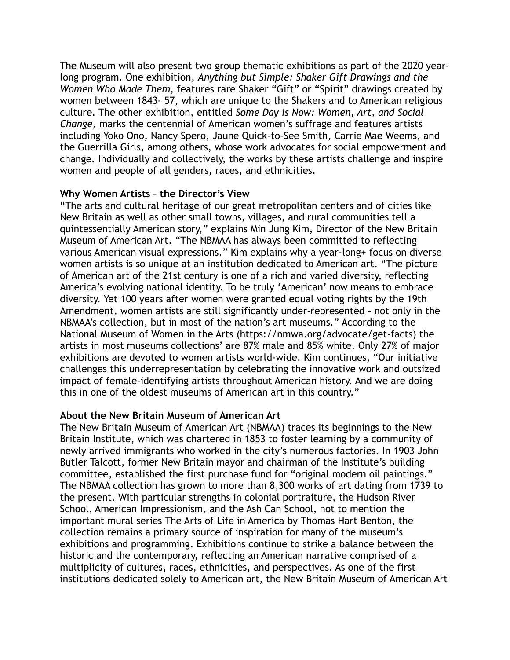The Museum will also present two group thematic exhibitions as part of the 2020 yearlong program. One exhibition, *Anything but Simple: Shaker Gift Drawings and the Women Who Made Them,* features rare Shaker "Gift" or "Spirit" drawings created by women between 1843- 57, which are unique to the Shakers and to American religious culture. The other exhibition, entitled *Some Day is Now: Women, Art, and Social Change*, marks the centennial of American women's suffrage and features artists including Yoko Ono, Nancy Spero, Jaune Quick-to-See Smith, Carrie Mae Weems, and the Guerrilla Girls, among others, whose work advocates for social empowerment and change. Individually and collectively, the works by these artists challenge and inspire women and people of all genders, races, and ethnicities.

## **Why Women Artists – the Director's View**

"The arts and cultural heritage of our great metropolitan centers and of cities like New Britain as well as other small towns, villages, and rural communities tell a quintessentially American story," explains Min Jung Kim, Director of the New Britain Museum of American Art. "The NBMAA has always been committed to reflecting various American visual expressions." Kim explains why a year-long+ focus on diverse women artists is so unique at an institution dedicated to American art. "The picture of American art of the 21st century is one of a rich and varied diversity, reflecting America's evolving national identity. To be truly 'American' now means to embrace diversity. Yet 100 years after women were granted equal voting rights by the 19th Amendment, women artists are still significantly under-represented – not only in the NBMAA's collection, but in most of the nation's art museums." According to the National Museum of Women in the Arts (https://nmwa.org/advocate/get-facts) the artists in most museums collections' are 87% male and 85% white. Only 27% of major exhibitions are devoted to women artists world-wide. Kim continues, "Our initiative challenges this underrepresentation by celebrating the innovative work and outsized impact of female-identifying artists throughout American history. And we are doing this in one of the oldest museums of American art in this country."

## **About the New Britain Museum of American Art**

The New Britain Museum of American Art (NBMAA) traces its beginnings to the New Britain Institute, which was chartered in 1853 to foster learning by a community of newly arrived immigrants who worked in the city's numerous factories. In 1903 John Butler Talcott, former New Britain mayor and chairman of the Institute's building committee, established the first purchase fund for "original modern oil paintings." The NBMAA collection has grown to more than 8,300 works of art dating from 1739 to the present. With particular strengths in colonial portraiture, the Hudson River School, American Impressionism, and the Ash Can School, not to mention the important mural series The Arts of Life in America by Thomas Hart Benton, the collection remains a primary source of inspiration for many of the museum's exhibitions and programming. Exhibitions continue to strike a balance between the historic and the contemporary, reflecting an American narrative comprised of a multiplicity of cultures, races, ethnicities, and perspectives. As one of the first institutions dedicated solely to American art, the New Britain Museum of American Art